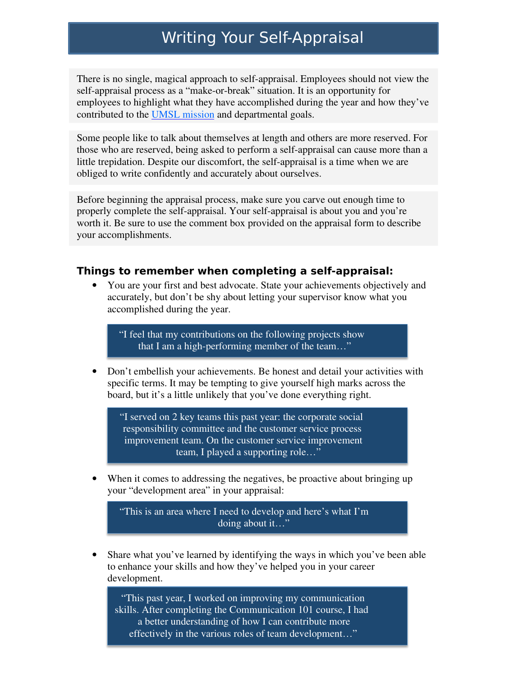# Writing Your Self-Appraisal

There is no single, magical approach to self-appraisal. Employees should not view the self-appraisal process as a "make-or-break" situation. It is an opportunity for contributed to the [UMSL mission](http://www.umsl.edu/services/academic/About%20Us/mission.html) and departmental goals. employees to highlight what they have accomplished during the year and how they've

Some people like to talk about themselves at length and others are more reserved. For those who are reserved, being asked to perform a self-appraisal can cause more than a little trepidation. Despite our discomfort, the self-appraisal is a time when we are obliged to write confidently and accurately about ourselves.

Before beginning the appraisal process, make sure you carve out enough time to properly complete the self-appraisal. Your self-appraisal is about you and you're worth it. Be sure to use the comment box provided on the appraisal form to describe your accomplishments.

## **Things to remember when completing a self-appraisal:**

 You are your first and best advocate. State your achievements objectively and accurately, but don't be shy about letting your supervisor know what you accomplished during the year.

"I feel that my contributions on the following projects show that I am a high-performing member of the team..."

• Don't embellish your achievements. Be honest and detail your activities with specific terms. It may be tempting to give yourself high marks across the board, but it's a little unlikely that you've done everything right.

"I served on 2 key teams this past year: the corporate social responsibility committee and the customer service process improvement team. On the customer service improvement team, I played a supporting role…"

• When it comes to addressing the negatives, be proactive about bringing up your "development area" in your appraisal:

"This is an area where I need to develop and here's what I'm doing about it…"

 Share what you've learned by identifying the ways in which you've been able to enhance your skills and how they've helped you in your career development.

"This past year, I worked on improving my communication skills. After completing the Communication 101 course, I had a better understanding of how I can contribute more effectively in the various roles of team development…"